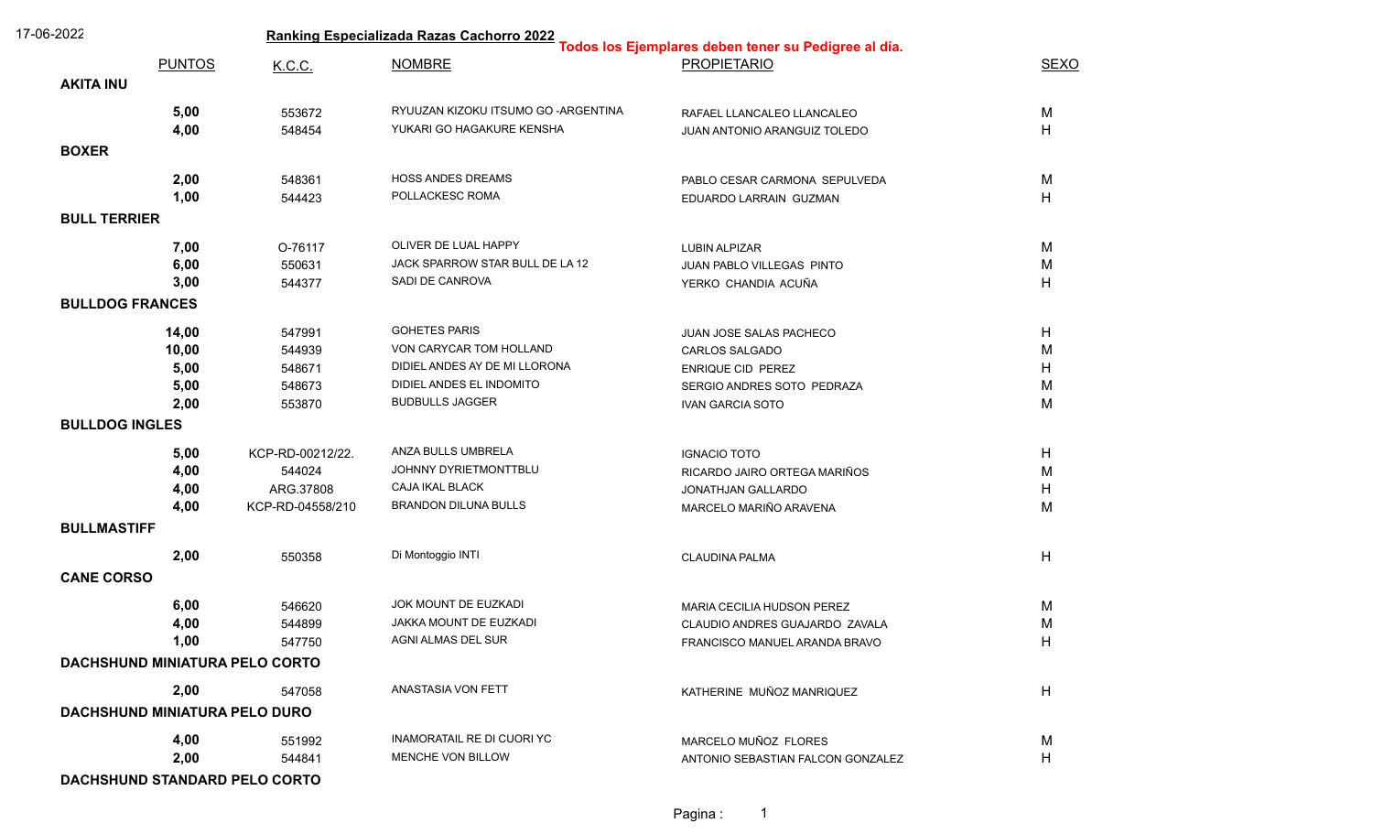| 17-06-2022             |                                      | Ranking Especializada Razas Cachorro 2022<br>Todos los Ejemplares deben tener su Pedigree al día. |                                                                   |                                   |             |  |  |
|------------------------|--------------------------------------|---------------------------------------------------------------------------------------------------|-------------------------------------------------------------------|-----------------------------------|-------------|--|--|
|                        | <b>PUNTOS</b>                        | K.C.C.                                                                                            | <b>NOMBRE</b>                                                     | <b>PROPIETARIO</b>                | <b>SEXO</b> |  |  |
| <b>AKITA INU</b>       |                                      |                                                                                                   |                                                                   |                                   |             |  |  |
|                        |                                      |                                                                                                   |                                                                   |                                   |             |  |  |
|                        | 5,00<br>4,00                         | 553672                                                                                            | RYUUZAN KIZOKU ITSUMO GO - ARGENTINA<br>YUKARI GO HAGAKURE KENSHA | RAFAEL LLANCALEO LLANCALEO        | M           |  |  |
|                        |                                      | 548454                                                                                            |                                                                   | JUAN ANTONIO ARANGUIZ TOLEDO      | H           |  |  |
| <b>BOXER</b>           |                                      |                                                                                                   |                                                                   |                                   |             |  |  |
|                        | 2,00                                 | 548361                                                                                            | <b>HOSS ANDES DREAMS</b>                                          | PABLO CESAR CARMONA SEPULVEDA     | M           |  |  |
|                        | 1,00                                 | 544423                                                                                            | POLLACKESC ROMA                                                   | EDUARDO LARRAIN GUZMAN            | H           |  |  |
| <b>BULL TERRIER</b>    |                                      |                                                                                                   |                                                                   |                                   |             |  |  |
|                        | 7,00                                 | O-76117                                                                                           | OLIVER DE LUAL HAPPY                                              | <b>LUBIN ALPIZAR</b>              | M           |  |  |
|                        | 6,00                                 | 550631                                                                                            | JACK SPARROW STAR BULL DE LA 12                                   | JUAN PABLO VILLEGAS PINTO         | M           |  |  |
|                        | 3,00                                 | 544377                                                                                            | SADI DE CANROVA                                                   | YERKO CHANDIA ACUÑA               | H           |  |  |
| <b>BULLDOG FRANCES</b> |                                      |                                                                                                   |                                                                   |                                   |             |  |  |
|                        | 14,00                                | 547991                                                                                            | <b>GOHETES PARIS</b>                                              | JUAN JOSE SALAS PACHECO           | H           |  |  |
|                        | 10,00                                | 544939                                                                                            | VON CARYCAR TOM HOLLAND                                           | CARLOS SALGADO                    | M           |  |  |
|                        | 5,00                                 | 548671                                                                                            | DIDIEL ANDES AY DE MI LLORONA                                     | <b>ENRIQUE CID PEREZ</b>          | H           |  |  |
|                        | 5,00                                 | 548673                                                                                            | DIDIEL ANDES EL INDOMITO                                          | SERGIO ANDRES SOTO PEDRAZA        | M           |  |  |
|                        | 2,00                                 | 553870                                                                                            | <b>BUDBULLS JAGGER</b>                                            | <b>IVAN GARCIA SOTO</b>           | M           |  |  |
| <b>BULLDOG INGLES</b>  |                                      |                                                                                                   |                                                                   |                                   |             |  |  |
|                        | 5,00                                 | KCP-RD-00212/22.                                                                                  | ANZA BULLS UMBRELA                                                | <b>IGNACIO TOTO</b>               | H           |  |  |
|                        | 4,00                                 | 544024                                                                                            | JOHNNY DYRIETMONTTBLU                                             | RICARDO JAIRO ORTEGA MARIÑOS      | M           |  |  |
|                        | 4,00                                 | ARG.37808                                                                                         | CAJA IKAL BLACK                                                   | JONATHJAN GALLARDO                | H           |  |  |
|                        | 4,00                                 | KCP-RD-04558/210                                                                                  | <b>BRANDON DILUNA BULLS</b>                                       | MARCELO MARIÑO ARAVENA            | M           |  |  |
| <b>BULLMASTIFF</b>     |                                      |                                                                                                   |                                                                   |                                   |             |  |  |
|                        | 2,00                                 | 550358                                                                                            | Di Montoggio INTI                                                 | <b>CLAUDINA PALMA</b>             | H           |  |  |
| <b>CANE CORSO</b>      |                                      |                                                                                                   |                                                                   |                                   |             |  |  |
|                        | 6,00                                 | 546620                                                                                            | JOK MOUNT DE EUZKADI                                              | MARIA CECILIA HUDSON PEREZ        | M           |  |  |
|                        | 4,00                                 | 544899                                                                                            | JAKKA MOUNT DE EUZKADI                                            | CLAUDIO ANDRES GUAJARDO ZAVALA    | M           |  |  |
|                        | 1,00                                 | 547750                                                                                            | AGNI ALMAS DEL SUR                                                | FRANCISCO MANUEL ARANDA BRAVO     | H           |  |  |
|                        |                                      | DACHSHUND MINIATURA PELO CORTO                                                                    |                                                                   |                                   |             |  |  |
|                        | 2,00                                 | 547058                                                                                            | ANASTASIA VON FETT                                                | KATHERINE MUÑOZ MANRIQUEZ         | H           |  |  |
|                        | <b>DACHSHUND MINIATURA PELO DURO</b> |                                                                                                   |                                                                   |                                   |             |  |  |
|                        | 4,00                                 | 551992                                                                                            | INAMORATAIL RE DI CUORI YC                                        | MARCELO MUÑOZ FLORES              | M           |  |  |
|                        | 2,00                                 | 544841                                                                                            | MENCHE VON BILLOW                                                 | ANTONIO SEBASTIAN FALCON GONZALEZ | H           |  |  |
|                        |                                      | DACHSHUND STANDARD PELO CORTO                                                                     |                                                                   |                                   |             |  |  |